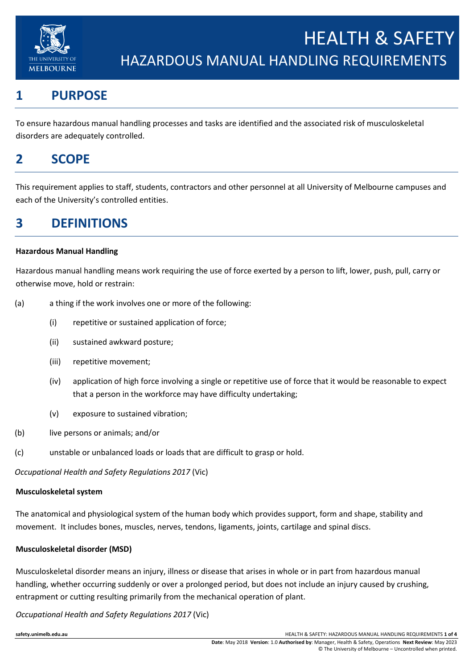

# **1 PURPOSE**

To ensure hazardous manual handling processes and tasks are identified and the associated risk of musculoskeletal disorders are adequately controlled.

## **2 SCOPE**

This requirement applies to staff, students, contractors and other personnel at all University of Melbourne campuses and each of the University's controlled entities.

## **3 DEFINITIONS**

#### **Hazardous Manual Handling**

Hazardous manual handling means work requiring the use of force exerted by a person to lift, lower, push, pull, carry or otherwise move, hold or restrain:

- (a) a thing if the work involves one or more of the following:
	- (i) repetitive or sustained application of force;
	- (ii) sustained awkward posture;
	- (iii) repetitive movement;
	- (iv) application of high force involving a single or repetitive use of force that it would be reasonable to expect that a person in the workforce may have difficulty undertaking;
	- (v) exposure to sustained vibration;
- (b) live persons or animals; and/or
- (c) unstable or unbalanced loads or loads that are difficult to grasp or hold.

*Occupational Health and Safety Regulations 2017* (Vic)

#### **Musculoskeletal system**

The anatomical and physiological system of the human body which provides support, form and shape, stability and movement. It includes bones, muscles, nerves, tendons, ligaments, joints, cartilage and spinal discs.

#### **Musculoskeletal disorder (MSD)**

Musculoskeletal disorder means an injury, illness or disease that arises in whole or in part from hazardous manual handling, whether occurring suddenly or over a prolonged period, but does not include an injury caused by crushing, entrapment or cutting resulting primarily from the mechanical operation of plant.

*Occupational Health and Safety Regulations 2017* (Vic)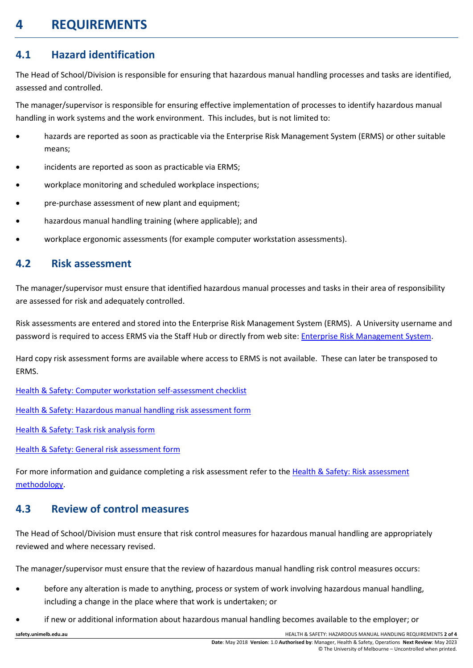# **4 REQUIREMENTS**

### **4.1 Hazard identification**

The Head of School/Division is responsible for ensuring that hazardous manual handling processes and tasks are identified, assessed and controlled.

The manager/supervisor is responsible for ensuring effective implementation of processes to identify hazardous manual handling in work systems and the work environment. This includes, but is not limited to:

- hazards are reported as soon as practicable via the Enterprise Risk Management System (ERMS) or other suitable means;
- incidents are reported as soon as practicable via ERMS;
- workplace monitoring and scheduled workplace inspections;
- pre-purchase assessment of new plant and equipment;
- hazardous manual handling training (where applicable); and
- workplace ergonomic assessments (for example computer workstation assessments).

#### **4.2 Risk assessment**

The manager/supervisor must ensure that identified hazardous manual processes and tasks in their area of responsibility are assessed for risk and adequately controlled.

Risk assessments are entered and stored into the Enterprise Risk Management System (ERMS). A University username and password is required to access ERMS via the Staff Hub or directly from web site: [Enterprise Risk Management System.](https://www.riskcloud.net/prod/default.aspx)

Hard copy risk assessment forms are available where access to ERMS is not available. These can later be transposed to ERMS.

Health & Safety: [Computer workstation self-assessment checklist](https://safety.unimelb.edu.au/__data/assets/word_doc/0019/2041273/Computer-workstation-self-assessment.docx)

[Health & Safety: Hazardous manual handling risk assessment form](https://safety.unimelb.edu.au/__data/assets/word_doc/0009/1796076/hazardous-manual-handling-risk-assessment-form.docx)

[Health & Safety: Task risk analysis form](https://safety.unimelb.edu.au/__data/assets/word_doc/0008/1716731/task-risk-analysis-form.docx)

[Health & Safety: General risk assessment form](https://safety.unimelb.edu.au/__data/assets/word_doc/0007/1716730/general-risk-assessment-form.docx)

For more information and guidance completing a risk assessment refer to the Health & Safety: Risk assessment [methodology.](https://safety.unimelb.edu.au/__data/assets/pdf_file/0007/1716712/health-and-safety-risk-assessment-methodology.pdf)

### **4.3 Review of control measures**

The Head of School/Division must ensure that risk control measures for hazardous manual handling are appropriately reviewed and where necessary revised.

The manager/supervisor must ensure that the review of hazardous manual handling risk control measures occurs:

- before any alteration is made to anything, process or system of work involving hazardous manual handling, including a change in the place where that work is undertaken; or
- if new or additional information about hazardous manual handling becomes available to the employer; or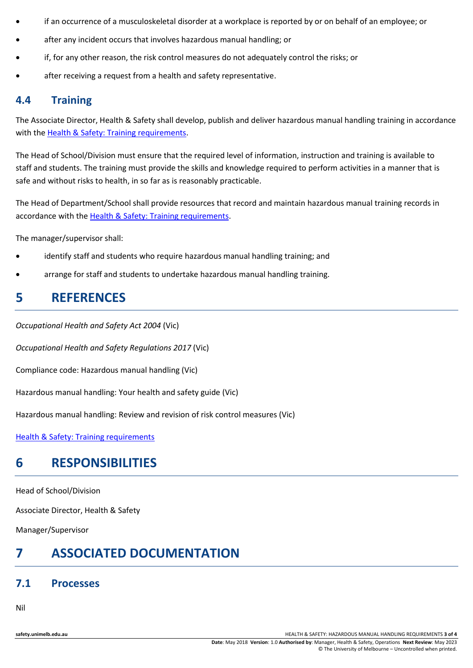- if an occurrence of a musculoskeletal disorder at a workplace is reported by or on behalf of an employee; or
- after any incident occurs that involves hazardous manual handling; or
- if, for any other reason, the risk control measures do not adequately control the risks; or
- after receiving a request from a health and safety representative.

#### **4.4 Training**

The Associate Director, Health & Safety shall develop, publish and deliver hazardous manual handling training in accordance with th[e Health & Safety: Training requirements.](http://safety.unimelb.edu.au/__data/assets/word_doc/0007/2077585/health-and-safety-training-requirements.docx)

The Head of School/Division must ensure that the required level of information, instruction and training is available to staff and students. The training must provide the skills and knowledge required to perform activities in a manner that is safe and without risks to health, in so far as is reasonably practicable.

The Head of Department/School shall provide resources that record and maintain hazardous manual training records in accordance with the [Health & Safety: Training requirements.](http://safety.unimelb.edu.au/__data/assets/word_doc/0007/2077585/health-and-safety-training-requirements.docx)

The manager/supervisor shall:

- identify staff and students who require hazardous manual handling training; and
- arrange for staff and students to undertake hazardous manual handling training.

### **5 REFERENCES**

*Occupational Health and Safety Act 2004* (Vic)

*Occupational Health and Safety Regulations 2017* (Vic)

Compliance code: Hazardous manual handling (Vic)

Hazardous manual handling: Your health and safety guide (Vic)

Hazardous manual handling: Review and revision of risk control measures (Vic)

[Health & Safety: Training requirements](http://safety.unimelb.edu.au/__data/assets/word_doc/0007/2077585/health-and-safety-training-requirements.docx)

## **6 RESPONSIBILITIES**

Head of School/Division

Associate Director, Health & Safety

Manager/Supervisor

# **7 ASSOCIATED DOCUMENTATION**

#### **7.1 Processes**

Nil